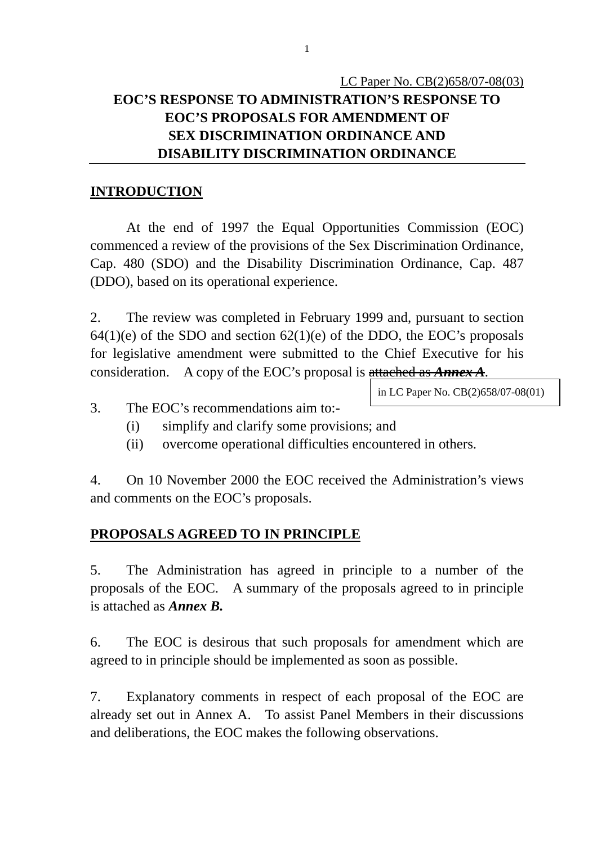#### **INTRODUCTION**

 At the end of 1997 the Equal Opportunities Commission (EOC) commenced a review of the provisions of the Sex Discrimination Ordinance, Cap. 480 (SDO) and the Disability Discrimination Ordinance, Cap. 487 (DDO), based on its operational experience.

2. The review was completed in February 1999 and, pursuant to section  $64(1)(e)$  of the SDO and section  $62(1)(e)$  of the DDO, the EOC's proposals for legislative amendment were submitted to the Chief Executive for his consideration. A copy of the EOC's proposal is attached as *Annex A*.

in LC Paper No. CB(2)658/07-08(01)

- 3. The EOC's recommendations aim to:-
	- (i) simplify and clarify some provisions; and
	- (ii) overcome operational difficulties encountered in others.

4. On 10 November 2000 the EOC received the Administration's views and comments on the EOC's proposals.

#### **PROPOSALS AGREED TO IN PRINCIPLE**

5. The Administration has agreed in principle to a number of the proposals of the EOC. A summary of the proposals agreed to in principle is attached as *Annex B.*

6. The EOC is desirous that such proposals for amendment which are agreed to in principle should be implemented as soon as possible.

7. Explanatory comments in respect of each proposal of the EOC are already set out in Annex A. To assist Panel Members in their discussions and deliberations, the EOC makes the following observations.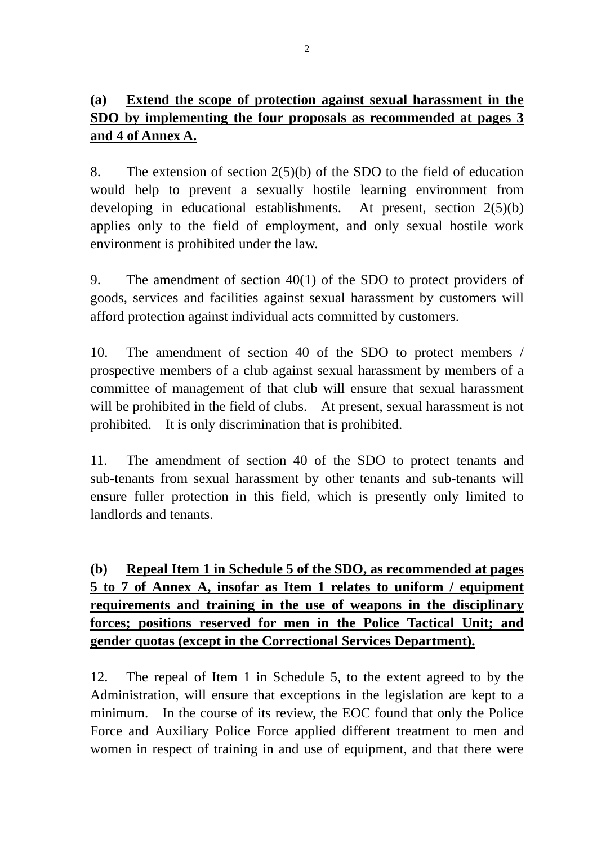### **(a) Extend the scope of protection against sexual harassment in the SDO by implementing the four proposals as recommended at pages 3 and 4 of Annex A.**

8. The extension of section 2(5)(b) of the SDO to the field of education would help to prevent a sexually hostile learning environment from developing in educational establishments. At present, section 2(5)(b) applies only to the field of employment, and only sexual hostile work environment is prohibited under the law.

9. The amendment of section 40(1) of the SDO to protect providers of goods, services and facilities against sexual harassment by customers will afford protection against individual acts committed by customers.

10. The amendment of section 40 of the SDO to protect members / prospective members of a club against sexual harassment by members of a committee of management of that club will ensure that sexual harassment will be prohibited in the field of clubs. At present, sexual harassment is not prohibited. It is only discrimination that is prohibited.

11. The amendment of section 40 of the SDO to protect tenants and sub-tenants from sexual harassment by other tenants and sub-tenants will ensure fuller protection in this field, which is presently only limited to landlords and tenants.

**(b) Repeal Item 1 in Schedule 5 of the SDO, as recommended at pages 5 to 7 of Annex A, insofar as Item 1 relates to uniform / equipment requirements and training in the use of weapons in the disciplinary forces; positions reserved for men in the Police Tactical Unit; and gender quotas (except in the Correctional Services Department).**

12. The repeal of Item 1 in Schedule 5, to the extent agreed to by the Administration, will ensure that exceptions in the legislation are kept to a minimum. In the course of its review, the EOC found that only the Police Force and Auxiliary Police Force applied different treatment to men and women in respect of training in and use of equipment, and that there were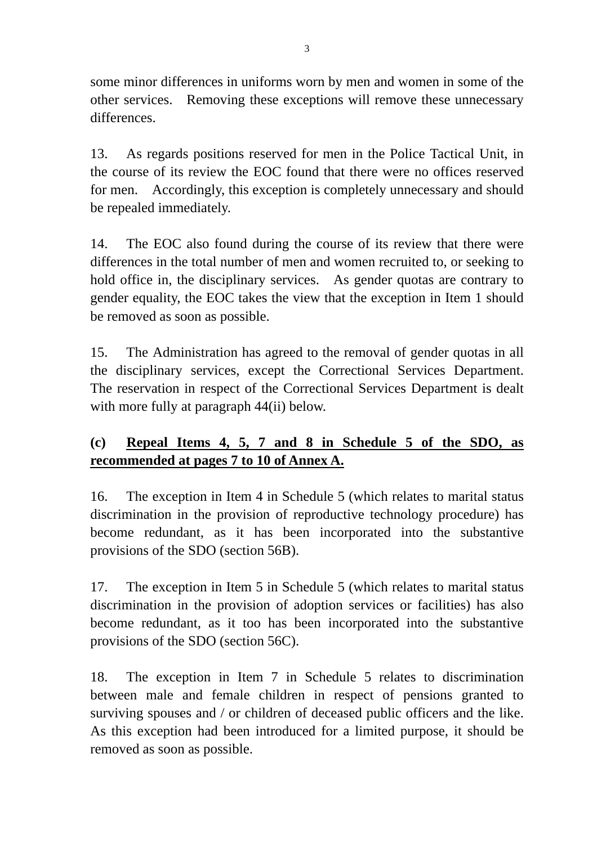some minor differences in uniforms worn by men and women in some of the other services. Removing these exceptions will remove these unnecessary differences.

13. As regards positions reserved for men in the Police Tactical Unit, in the course of its review the EOC found that there were no offices reserved for men. Accordingly, this exception is completely unnecessary and should be repealed immediately.

14. The EOC also found during the course of its review that there were differences in the total number of men and women recruited to, or seeking to hold office in, the disciplinary services. As gender quotas are contrary to gender equality, the EOC takes the view that the exception in Item 1 should be removed as soon as possible.

15. The Administration has agreed to the removal of gender quotas in all the disciplinary services, except the Correctional Services Department. The reservation in respect of the Correctional Services Department is dealt with more fully at paragraph 44(ii) below.

# **(c) Repeal Items 4, 5, 7 and 8 in Schedule 5 of the SDO, as recommended at pages 7 to 10 of Annex A.**

16. The exception in Item 4 in Schedule 5 (which relates to marital status discrimination in the provision of reproductive technology procedure) has become redundant, as it has been incorporated into the substantive provisions of the SDO (section 56B).

17. The exception in Item 5 in Schedule 5 (which relates to marital status discrimination in the provision of adoption services or facilities) has also become redundant, as it too has been incorporated into the substantive provisions of the SDO (section 56C).

18. The exception in Item 7 in Schedule 5 relates to discrimination between male and female children in respect of pensions granted to surviving spouses and / or children of deceased public officers and the like. As this exception had been introduced for a limited purpose, it should be removed as soon as possible.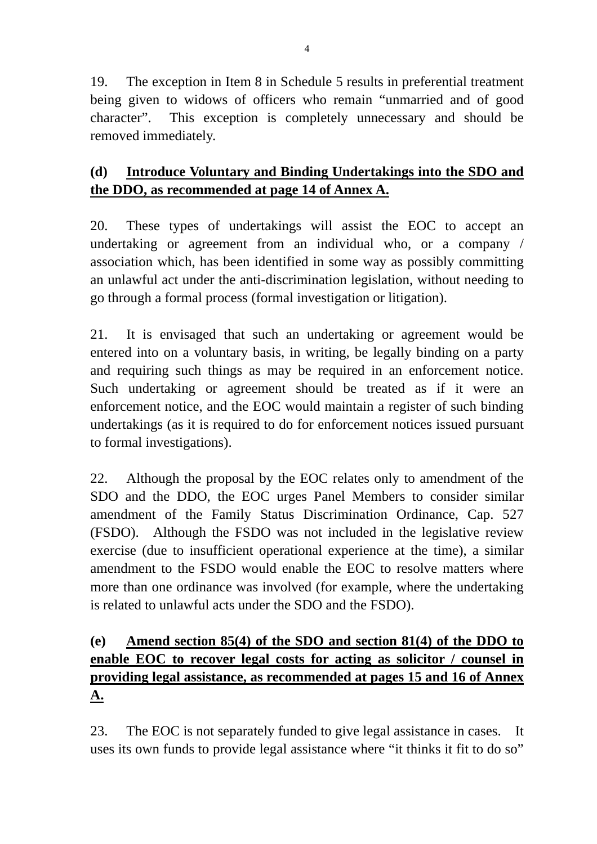19. The exception in Item 8 in Schedule 5 results in preferential treatment being given to widows of officers who remain "unmarried and of good character". This exception is completely unnecessary and should be removed immediately.

## **(d) Introduce Voluntary and Binding Undertakings into the SDO and the DDO, as recommended at page 14 of Annex A.**

20. These types of undertakings will assist the EOC to accept an undertaking or agreement from an individual who, or a company / association which, has been identified in some way as possibly committing an unlawful act under the anti-discrimination legislation, without needing to go through a formal process (formal investigation or litigation).

21. It is envisaged that such an undertaking or agreement would be entered into on a voluntary basis, in writing, be legally binding on a party and requiring such things as may be required in an enforcement notice. Such undertaking or agreement should be treated as if it were an enforcement notice, and the EOC would maintain a register of such binding undertakings (as it is required to do for enforcement notices issued pursuant to formal investigations).

22. Although the proposal by the EOC relates only to amendment of the SDO and the DDO, the EOC urges Panel Members to consider similar amendment of the Family Status Discrimination Ordinance, Cap. 527 (FSDO). Although the FSDO was not included in the legislative review exercise (due to insufficient operational experience at the time), a similar amendment to the FSDO would enable the EOC to resolve matters where more than one ordinance was involved (for example, where the undertaking is related to unlawful acts under the SDO and the FSDO).

# **(e) Amend section 85(4) of the SDO and section 81(4) of the DDO to enable EOC to recover legal costs for acting as solicitor / counsel in providing legal assistance, as recommended at pages 15 and 16 of Annex A.**

23. The EOC is not separately funded to give legal assistance in cases. It uses its own funds to provide legal assistance where "it thinks it fit to do so"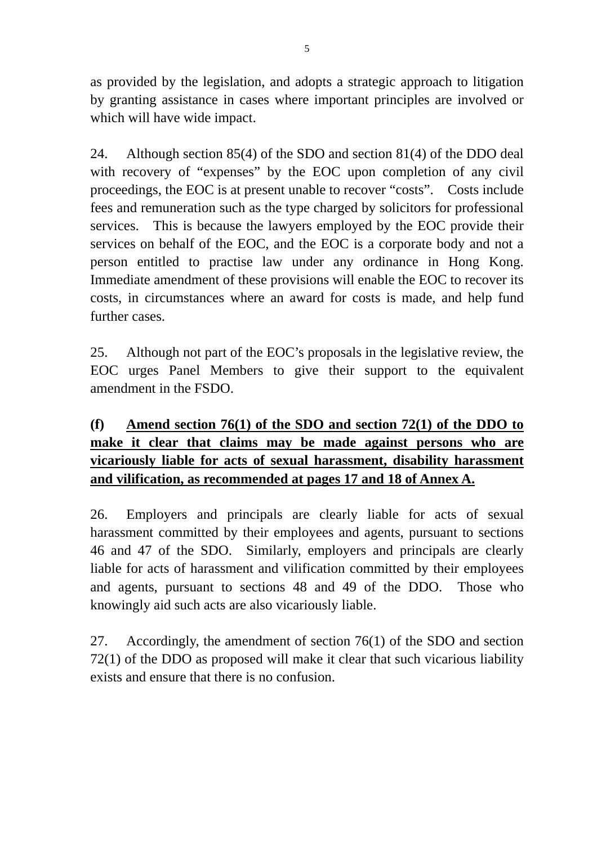as provided by the legislation, and adopts a strategic approach to litigation by granting assistance in cases where important principles are involved or which will have wide impact.

24. Although section 85(4) of the SDO and section 81(4) of the DDO deal with recovery of "expenses" by the EOC upon completion of any civil proceedings, the EOC is at present unable to recover "costs". Costs include fees and remuneration such as the type charged by solicitors for professional services. This is because the lawyers employed by the EOC provide their services on behalf of the EOC, and the EOC is a corporate body and not a person entitled to practise law under any ordinance in Hong Kong. Immediate amendment of these provisions will enable the EOC to recover its costs, in circumstances where an award for costs is made, and help fund further cases.

25. Although not part of the EOC's proposals in the legislative review, the EOC urges Panel Members to give their support to the equivalent amendment in the FSDO.

## **(f) Amend section 76(1) of the SDO and section 72(1) of the DDO to make it clear that claims may be made against persons who are vicariously liable for acts of sexual harassment, disability harassment and vilification, as recommended at pages 17 and 18 of Annex A.**

26. Employers and principals are clearly liable for acts of sexual harassment committed by their employees and agents, pursuant to sections 46 and 47 of the SDO. Similarly, employers and principals are clearly liable for acts of harassment and vilification committed by their employees and agents, pursuant to sections 48 and 49 of the DDO. Those who knowingly aid such acts are also vicariously liable.

27. Accordingly, the amendment of section 76(1) of the SDO and section 72(1) of the DDO as proposed will make it clear that such vicarious liability exists and ensure that there is no confusion.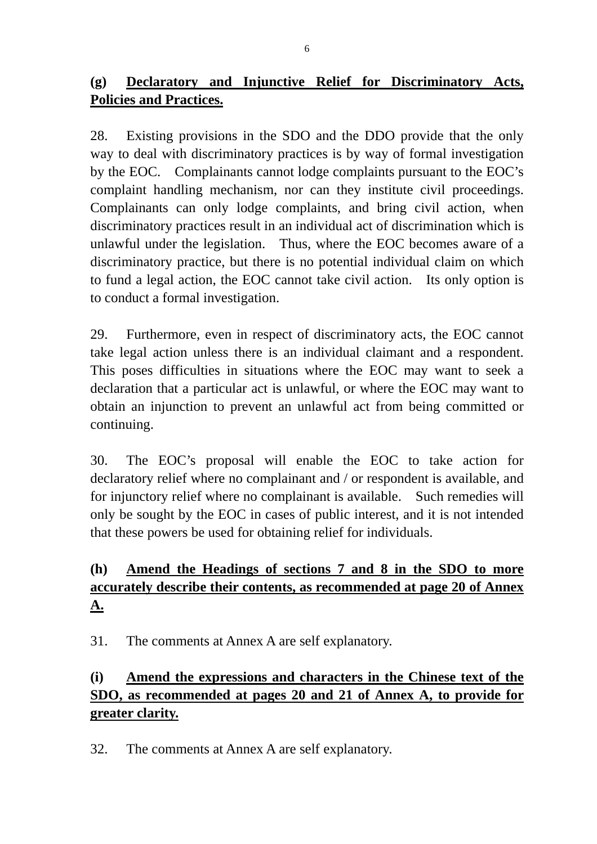## **(g) Declaratory and Injunctive Relief for Discriminatory Acts, Policies and Practices.**

28. Existing provisions in the SDO and the DDO provide that the only way to deal with discriminatory practices is by way of formal investigation by the EOC. Complainants cannot lodge complaints pursuant to the EOC's complaint handling mechanism, nor can they institute civil proceedings. Complainants can only lodge complaints, and bring civil action, when discriminatory practices result in an individual act of discrimination which is unlawful under the legislation. Thus, where the EOC becomes aware of a discriminatory practice, but there is no potential individual claim on which to fund a legal action, the EOC cannot take civil action. Its only option is to conduct a formal investigation.

29. Furthermore, even in respect of discriminatory acts, the EOC cannot take legal action unless there is an individual claimant and a respondent. This poses difficulties in situations where the EOC may want to seek a declaration that a particular act is unlawful, or where the EOC may want to obtain an injunction to prevent an unlawful act from being committed or continuing.

30. The EOC's proposal will enable the EOC to take action for declaratory relief where no complainant and / or respondent is available, and for injunctory relief where no complainant is available. Such remedies will only be sought by the EOC in cases of public interest, and it is not intended that these powers be used for obtaining relief for individuals.

# **(h) Amend the Headings of sections 7 and 8 in the SDO to more accurately describe their contents, as recommended at page 20 of Annex A.**

31. The comments at Annex A are self explanatory.

# **(i) Amend the expressions and characters in the Chinese text of the SDO, as recommended at pages 20 and 21 of Annex A, to provide for greater clarity.**

32. The comments at Annex A are self explanatory.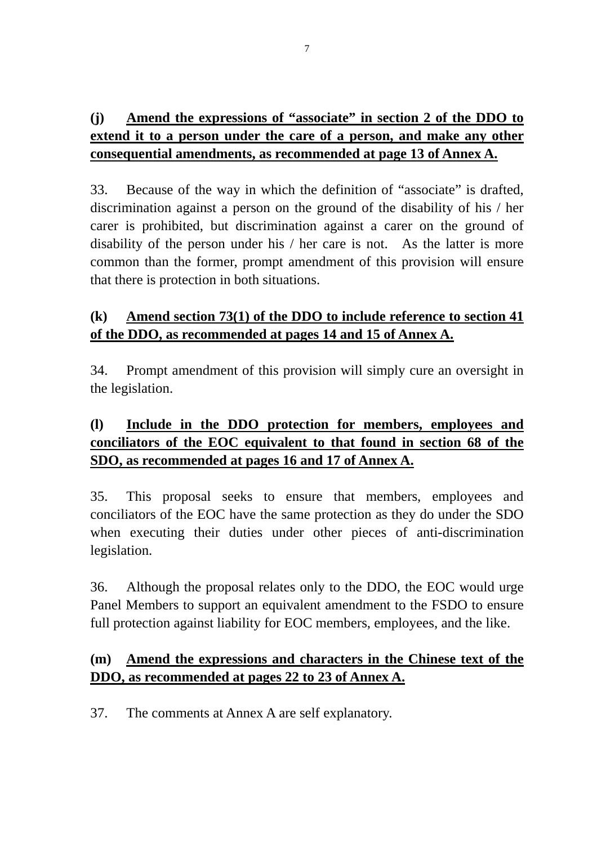## **(j) Amend the expressions of "associate" in section 2 of the DDO to extend it to a person under the care of a person, and make any other consequential amendments, as recommended at page 13 of Annex A.**

33. Because of the way in which the definition of "associate" is drafted, discrimination against a person on the ground of the disability of his / her carer is prohibited, but discrimination against a carer on the ground of disability of the person under his / her care is not. As the latter is more common than the former, prompt amendment of this provision will ensure that there is protection in both situations.

### **(k) Amend section 73(1) of the DDO to include reference to section 41 of the DDO, as recommended at pages 14 and 15 of Annex A.**

34. Prompt amendment of this provision will simply cure an oversight in the legislation.

## **(l) Include in the DDO protection for members, employees and conciliators of the EOC equivalent to that found in section 68 of the SDO, as recommended at pages 16 and 17 of Annex A.**

35. This proposal seeks to ensure that members, employees and conciliators of the EOC have the same protection as they do under the SDO when executing their duties under other pieces of anti-discrimination legislation.

36. Although the proposal relates only to the DDO, the EOC would urge Panel Members to support an equivalent amendment to the FSDO to ensure full protection against liability for EOC members, employees, and the like.

#### **(m) Amend the expressions and characters in the Chinese text of the DDO, as recommended at pages 22 to 23 of Annex A.**

37. The comments at Annex A are self explanatory.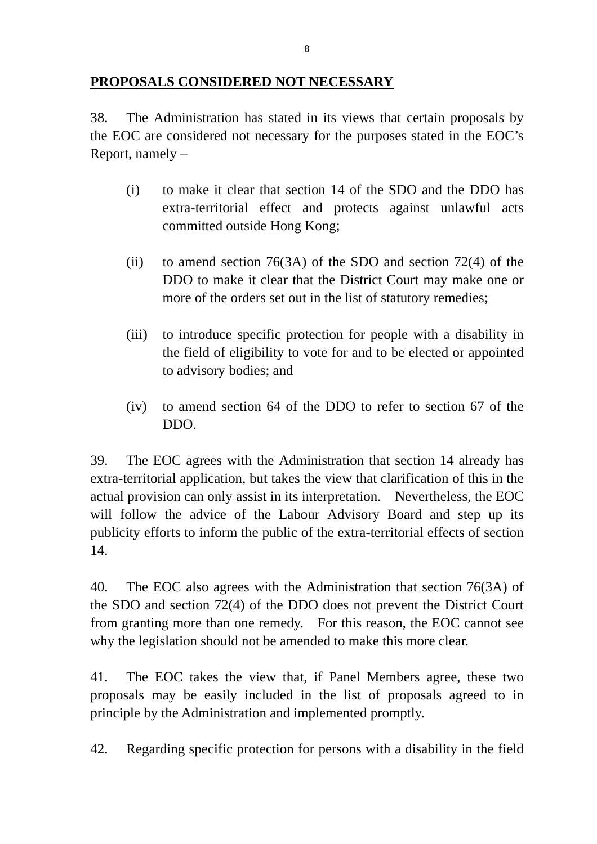#### **PROPOSALS CONSIDERED NOT NECESSARY**

38. The Administration has stated in its views that certain proposals by the EOC are considered not necessary for the purposes stated in the EOC's Report, namely –

- (i) to make it clear that section 14 of the SDO and the DDO has extra-territorial effect and protects against unlawful acts committed outside Hong Kong;
- (ii) to amend section 76(3A) of the SDO and section 72(4) of the DDO to make it clear that the District Court may make one or more of the orders set out in the list of statutory remedies;
- (iii) to introduce specific protection for people with a disability in the field of eligibility to vote for and to be elected or appointed to advisory bodies; and
- (iv) to amend section 64 of the DDO to refer to section 67 of the DDO.

39. The EOC agrees with the Administration that section 14 already has extra-territorial application, but takes the view that clarification of this in the actual provision can only assist in its interpretation. Nevertheless, the EOC will follow the advice of the Labour Advisory Board and step up its publicity efforts to inform the public of the extra-territorial effects of section 14.

40. The EOC also agrees with the Administration that section 76(3A) of the SDO and section 72(4) of the DDO does not prevent the District Court from granting more than one remedy. For this reason, the EOC cannot see why the legislation should not be amended to make this more clear.

41. The EOC takes the view that, if Panel Members agree, these two proposals may be easily included in the list of proposals agreed to in principle by the Administration and implemented promptly.

42. Regarding specific protection for persons with a disability in the field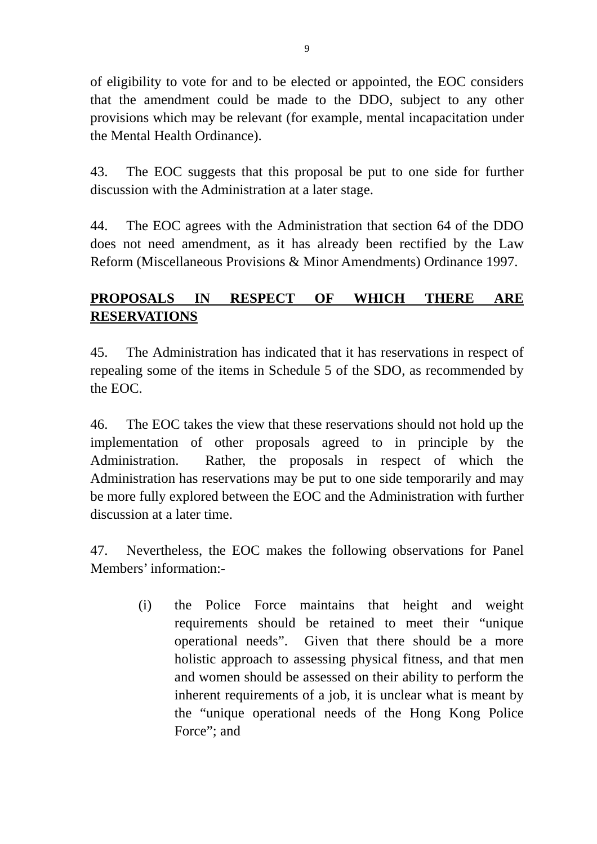of eligibility to vote for and to be elected or appointed, the EOC considers that the amendment could be made to the DDO, subject to any other provisions which may be relevant (for example, mental incapacitation under the Mental Health Ordinance).

43. The EOC suggests that this proposal be put to one side for further discussion with the Administration at a later stage.

44. The EOC agrees with the Administration that section 64 of the DDO does not need amendment, as it has already been rectified by the Law Reform (Miscellaneous Provisions & Minor Amendments) Ordinance 1997.

### **PROPOSALS IN RESPECT OF WHICH THERE ARE RESERVATIONS**

45. The Administration has indicated that it has reservations in respect of repealing some of the items in Schedule 5 of the SDO, as recommended by the EOC.

46. The EOC takes the view that these reservations should not hold up the implementation of other proposals agreed to in principle by the Administration. Rather, the proposals in respect of which the Administration has reservations may be put to one side temporarily and may be more fully explored between the EOC and the Administration with further discussion at a later time.

47. Nevertheless, the EOC makes the following observations for Panel Members' information:-

> (i) the Police Force maintains that height and weight requirements should be retained to meet their "unique operational needs". Given that there should be a more holistic approach to assessing physical fitness, and that men and women should be assessed on their ability to perform the inherent requirements of a job, it is unclear what is meant by the "unique operational needs of the Hong Kong Police Force"; and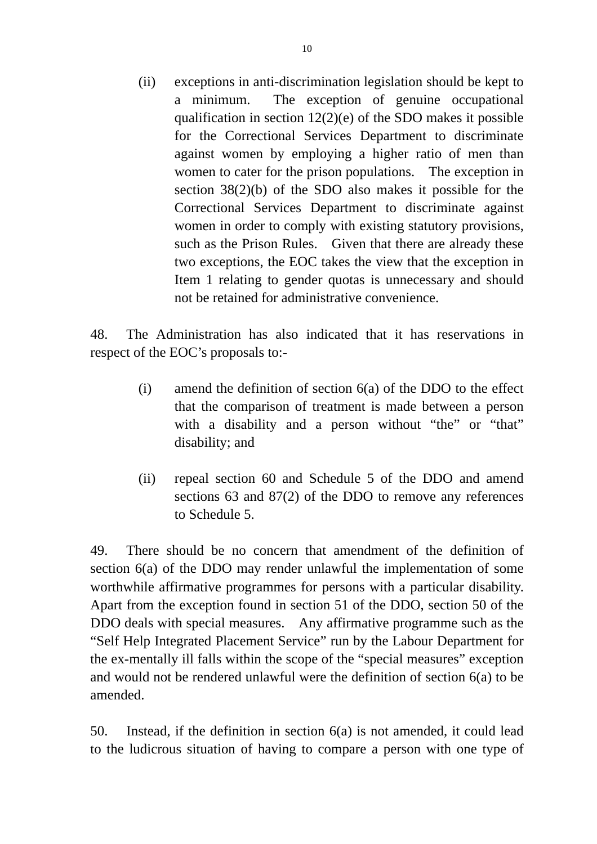(ii) exceptions in anti-discrimination legislation should be kept to a minimum. The exception of genuine occupational qualification in section 12(2)(e) of the SDO makes it possible for the Correctional Services Department to discriminate against women by employing a higher ratio of men than women to cater for the prison populations. The exception in section 38(2)(b) of the SDO also makes it possible for the Correctional Services Department to discriminate against women in order to comply with existing statutory provisions, such as the Prison Rules. Given that there are already these two exceptions, the EOC takes the view that the exception in Item 1 relating to gender quotas is unnecessary and should not be retained for administrative convenience.

48. The Administration has also indicated that it has reservations in respect of the EOC's proposals to:-

- (i) amend the definition of section 6(a) of the DDO to the effect that the comparison of treatment is made between a person with a disability and a person without "the" or "that" disability; and
- (ii) repeal section 60 and Schedule 5 of the DDO and amend sections 63 and 87(2) of the DDO to remove any references to Schedule 5.

49. There should be no concern that amendment of the definition of section 6(a) of the DDO may render unlawful the implementation of some worthwhile affirmative programmes for persons with a particular disability. Apart from the exception found in section 51 of the DDO, section 50 of the DDO deals with special measures. Any affirmative programme such as the "Self Help Integrated Placement Service" run by the Labour Department for the ex-mentally ill falls within the scope of the "special measures" exception and would not be rendered unlawful were the definition of section 6(a) to be amended.

50. Instead, if the definition in section 6(a) is not amended, it could lead to the ludicrous situation of having to compare a person with one type of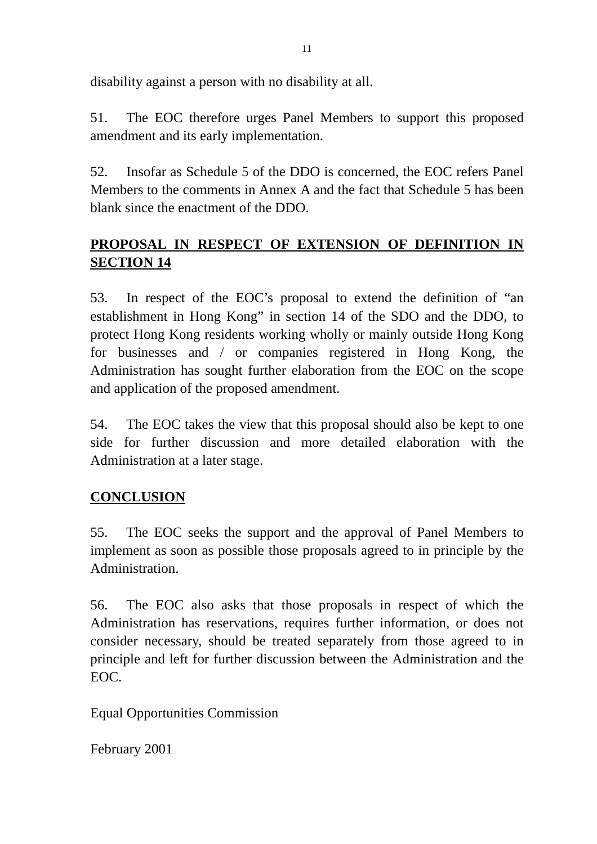disability against a person with no disability at all.

51. The EOC therefore urges Panel Members to support this proposed amendment and its early implementation.

52. Insofar as Schedule 5 of the DDO is concerned, the EOC refers Panel Members to the comments in Annex A and the fact that Schedule 5 has been blank since the enactment of the DDO.

# **PROPOSAL IN RESPECT OF EXTENSION OF DEFINITION IN SECTION 14**

53. In respect of the EOC's proposal to extend the definition of "an establishment in Hong Kong" in section 14 of the SDO and the DDO, to protect Hong Kong residents working wholly or mainly outside Hong Kong for businesses and / or companies registered in Hong Kong, the Administration has sought further elaboration from the EOC on the scope and application of the proposed amendment.

54. The EOC takes the view that this proposal should also be kept to one side for further discussion and more detailed elaboration with the Administration at a later stage.

### **CONCLUSION**

55. The EOC seeks the support and the approval of Panel Members to implement as soon as possible those proposals agreed to in principle by the Administration.

56. The EOC also asks that those proposals in respect of which the Administration has reservations, requires further information, or does not consider necessary, should be treated separately from those agreed to in principle and left for further discussion between the Administration and the EOC.

Equal Opportunities Commission

February 2001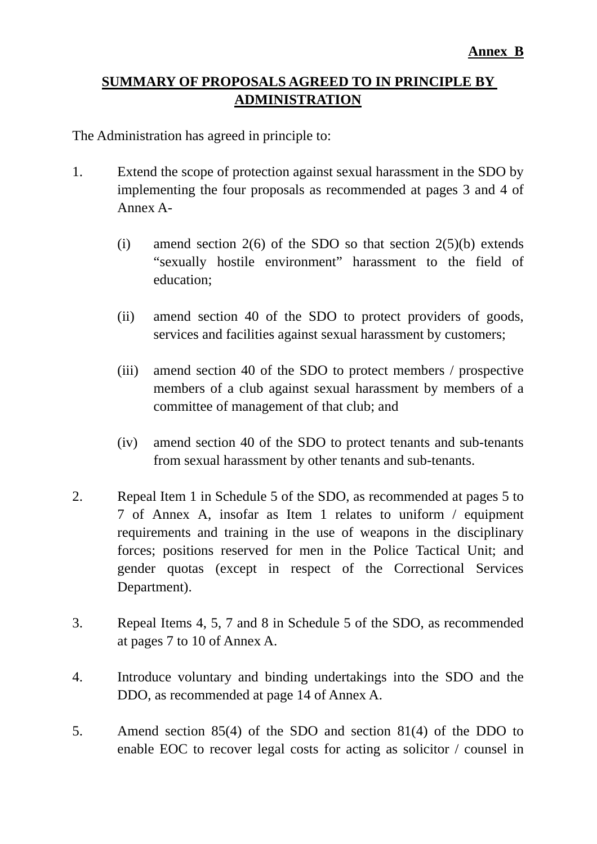#### **SUMMARY OF PROPOSALS AGREED TO IN PRINCIPLE BY ADMINISTRATION**

The Administration has agreed in principle to:

- 1. Extend the scope of protection against sexual harassment in the SDO by implementing the four proposals as recommended at pages 3 and 4 of Annex A-
	- (i) amend section  $2(6)$  of the SDO so that section  $2(5)(b)$  extends "sexually hostile environment" harassment to the field of education;
	- (ii) amend section 40 of the SDO to protect providers of goods, services and facilities against sexual harassment by customers;
	- (iii) amend section 40 of the SDO to protect members / prospective members of a club against sexual harassment by members of a committee of management of that club; and
	- (iv) amend section 40 of the SDO to protect tenants and sub-tenants from sexual harassment by other tenants and sub-tenants.
- 2. Repeal Item 1 in Schedule 5 of the SDO, as recommended at pages 5 to 7 of Annex A, insofar as Item 1 relates to uniform / equipment requirements and training in the use of weapons in the disciplinary forces; positions reserved for men in the Police Tactical Unit; and gender quotas (except in respect of the Correctional Services Department).
- 3. Repeal Items 4, 5, 7 and 8 in Schedule 5 of the SDO, as recommended at pages 7 to 10 of Annex A.
- 4. Introduce voluntary and binding undertakings into the SDO and the DDO, as recommended at page 14 of Annex A.
- 5. Amend section 85(4) of the SDO and section 81(4) of the DDO to enable EOC to recover legal costs for acting as solicitor / counsel in